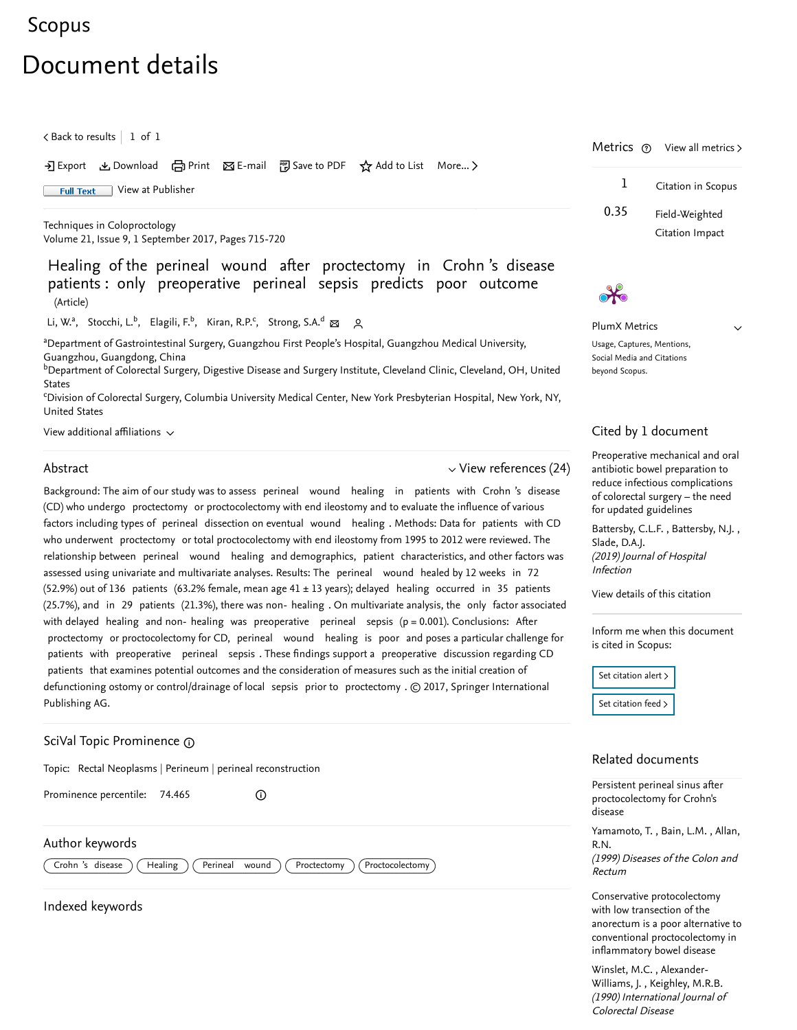# [Scopus](https://www.scopus.com/home.uri?zone=header&origin=searchbasic)

# Document details

 $\zeta$  [Back to results](https://www.scopus.com/results/results.uri?sort=plf-f&src=s&st1=Healing+of+the+perineal+wound+after+proctectomy+in+Crohn%27s+disease+patients%3a+only+preoperative+perineal+sepsis+predicts+poor+outcome&st2=&sid=8aa39cf5eb9cd7ac76dacec586c01b21&sot=b&sdt=b&sl=147&s=TITLE-ABS-KEY%28Healing+of+the+perineal+wound+after+proctectomy+in+Crohn%27s+disease+patients%3a+only+preoperative+perineal+sepsis+predicts+poor+outcome%29&offset=1&origin=recordpage)  $\vert\,$   $\,$  1 of  $\,$  1  $\,$ 

• Export と Download (日 Print 区 E-mail 約 Save to PDF ☆ Add to List More... >

Full Text [View at Publisher](https://www.scopus.com/redirect/linking.uri?targetURL=https%3a%2f%2fdoi.org%2f10.1007%2fs10151-017-1695-8&locationID=1&categoryID=4&eid=2-s2.0-85031094173&issn=11236337&linkType=ViewAtPublisher&year=2017&origin=recordpage&dig=153808f8b0ab6b31e1e7c3a272cb8524&recordRank=)

[Techniques in Coloproctology](https://www.scopus.com/sourceid/25374?origin=recordpage) Volume 21, Issue 9, 1 September 2017, Pages 715-720

Healing of the perineal wound after proctectomy in Crohn 's disease patients : only preoperative perineal sepsis predicts poor outcome (Article)

[Li, W.](https://www.scopus.com/authid/detail.uri?authorId=57192941823&eid=2-s2.0-85031094173)ª, [Stocchi, L.](https://www.scopus.com/authid/detail.uri?authorId=6603578290&eid=2-s2.0-85031094173)<sup>b</sup>, [Elagili, F.](https://www.scopus.com/authid/detail.uri?authorId=16052061000&eid=2-s2.0-85031094173)<sup>b</sup>, [Kiran, R.P.](https://www.scopus.com/authid/detail.uri?authorId=6701637896&eid=2-s2.0-85031094173)<sup>c</sup>, [Strong, S.A.](https://www.scopus.com/authid/detail.uri?authorId=7004817918&eid=2-s2.0-85031094173)<sup>d</sup> ⊠ 2,

<sup>a</sup>Department of Gastrointestinal Surgery, Guangzhou First People's Hospital, Guangzhou Medical University, Guangzhou, Guangdong, China

 $^{\rm b}$ Department of Colorectal Surgery, Digestive Disease and Surgery Institute, Cleveland Clinic, Cleveland, OH, United States

CDivision of Colorectal Surgery, Columbia University Medical Center, New York Presbyterian Hospital, New York, NY, United States

View additional affiliations  $\sim$ 

### Abstract

 $\vee$  [View references \(24\)](#page-1-0)

Background: The aim of our study was to assess perineal wound healing in patients with Crohn 's disease (CD) who undergo proctectomy or proctocolectomy with end ileostomy and to evaluate the influence of various factors including types of perineal dissection on eventual wound healing . Methods: Data for patients with CD who underwent proctectomy or total proctocolectomy with end ileostomy from 1995 to 2012 were reviewed. The relationship between perineal wound healing and demographics, patient characteristics, and other factors was assessed using univariate and multivariate analyses. Results: The perineal wound healed by 12 weeks in 72 (52.9%) out of 136 patients (63.2% female, mean age 41 ± 13 years); delayed healing occurred in 35 patients (25.7%), and in 29 patients (21.3%), there was non- healing . On multivariate analysis, the only factor associated with delayed healing and non- healing was preoperative perineal sepsis  $(p = 0.001)$ . Conclusions: After proctectomy or proctocolectomy for CD, perineal wound healing is poor and poses a particular challenge for patients with preoperative perineal sepsis . These findings support a preoperative discussion regarding CD patients that examines potential outcomes and the consideration of measures such as the initial creation of defunctioning ostomy or control/drainage of local sepsis prior to proctectomy . © 2017, Springer International Publishing AG.

 $\odot$ 

# SciVal Topic Prominence

Topic: Rectal Neoplasms | Perineum | perineal reconstruction

Prominence percentile: 74.465

### Author keywords

 $\boxed{\text{Crohn 's}}$  disease  $\boxed{\text{Healing}}$   $\boxed{\text{Perineal} \text{ wound}}$   $\boxed{\text{Proctectomy}}$   $\boxed{\text{Proctocolectomy}}$ 

Indexed keywords

|      | Metrics $\circled{v}$ View all metrics > |  |
|------|------------------------------------------|--|
| 1    | Citation in Scopus                       |  |
| 0.35 | Field-Weighted                           |  |
|      | Citation Impact                          |  |

PlumX Metrics

 $\vee$ 

Usage, Captures, Mentions, Social Media and Citations beyond Scopus.

#### Cited by 1 document

[Preoperative mechanical and oral](https://www.scopus.com/record/display.uri?origin=citedby&eid=2-s2.0-85060491568&citeCnt=1&noHighlight=false&sort=plf-f&src=s&st1=Healing+of+the+perineal+wound+after+proctectomy+in+Crohn%27s+disease+patients%3a+only+preoperative+perineal+sepsis+predicts+poor+outcome&st2=&sid=8aa39cf5eb9cd7ac76dacec586c01b21&sot=b&sdt=b&sl=147&s=TITLE-ABS-KEY%28Healing+of+the+perineal+wound+after+proctectomy+in+Crohn%27s+disease+patients%3a+only+preoperative+perineal+sepsis+predicts+poor+outcome%29&relpos=0) antibiotic bowel preparation to reduce infectious complications of colorectal surgery – the need for updated guidelines

Battersby,C.L.F., Battersby, N.J., (2019) Journal of Hospital Infection [Slade, D.A.J.](https://www.scopus.com/authid/detail.uri?origin=citedby&authorId=55214453300&zone=)

[View details of this citation](https://www.scopus.com/search/submit/citedby.uri?eid=2-s2.0-85031094173&src=s&origin=recordpage)

Inform me when this document is cited in Scopus:

Set citation alert > [Set citation feed](https://www.scopus.com/results/rss/handler.uri?citeEid=2-s2.0-85031094173) >

## Related documents

[Persistent perineal sinus after](https://www.scopus.com/record/display.uri?origin=recordpage&zone=relatedDocuments&eid=2-s2.0-0032895983&citeCnt=1&noHighlight=false&sort=plf-f&src=s&st1=Healing+of+the+perineal+wound+after+proctectomy+in+Crohn%27s+disease+patients%3a+only+preoperative+perineal+sepsis+predicts+poor+outcome&st2=&sid=8aa39cf5eb9cd7ac76dacec586c01b21&sot=b&sdt=b&sl=147&s=TITLE-ABS-KEY%28Healing+of+the+perineal+wound+after+proctectomy+in+Crohn%27s+disease+patients%3a+only+preoperative+perineal+sepsis+predicts+poor+outcome%29&relpos=0) proctocolectomy for Crohn's disease

[Yamamoto, T.](https://www.scopus.com/authid/detail.uri?origin=recordpage&authorId=55553782100&zone=relatedDocuments) , Bain, L.M. , Allan, (1999) Diseases of the Colon and R.N.

Rectum Conservative protocolectomy

with low transection of the [anorectum is a poor alternative to](https://www.scopus.com/record/display.uri?origin=recordpage&zone=relatedDocuments&eid=2-s2.0-0025193885&citeCnt=1&noHighlight=false&sort=plf-f&src=s&st1=Healing+of+the+perineal+wound+after+proctectomy+in+Crohn%27s+disease+patients%3a+only+preoperative+perineal+sepsis+predicts+poor+outcome&st2=&sid=8aa39cf5eb9cd7ac76dacec586c01b21&sot=b&sdt=b&sl=147&s=TITLE-ABS-KEY%28Healing+of+the+perineal+wound+after+proctectomy+in+Crohn%27s+disease+patients%3a+only+preoperative+perineal+sepsis+predicts+poor+outcome%29&relpos=1) conventional proctocolectomy in inflammatory bowel disease

, [Winslet, M.C.](https://www.scopus.com/authid/detail.uri?origin=recordpage&authorId=7005181439&zone=relatedDocuments) Alexander- , Williams, J. [Keighley, M.R.B.](https://www.scopus.com/authid/detail.uri?origin=recordpage&authorId=35493550100&zone=relatedDocuments)(1990) International Journal of Colorectal Disease